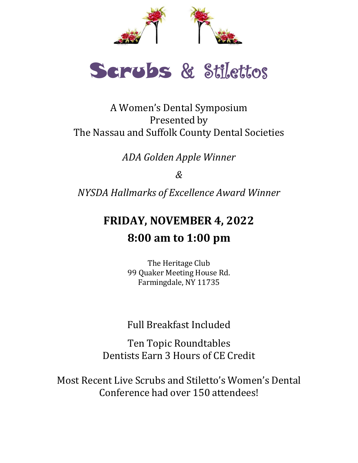



A Women's Dental Symposium Presented by The Nassau and Suffolk County Dental Societies

*ADA Golden Apple Winner*

*&*

*NYSDA Hallmarks of Excellence Award Winner*

# **FRIDAY, NOVEMBER 4, 2022 8:00 am to 1:00 pm**

The Heritage Club 99 Quaker Meeting House Rd. Farmingdale, NY 11735

Full Breakfast Included

Ten Topic Roundtables Dentists Earn 3 Hours of CE Credit

Most Recent Live Scrubs and Stiletto's Women's Dental Conference had over 150 attendees!